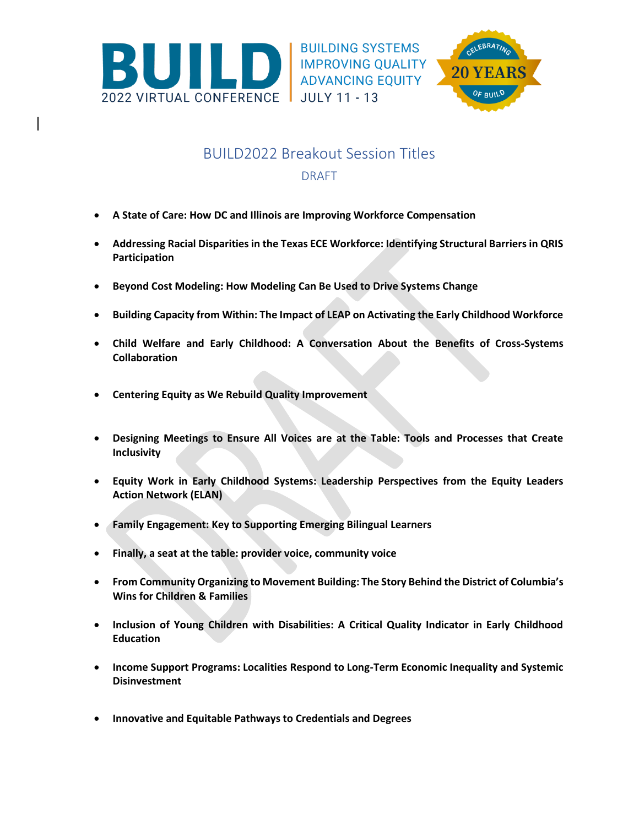

**BUILDING SYSTEMS** IMPROVING QUALITY ADVANCING EQUITY



## BUILD2022 Breakout Session Titles DRAFT

- **A State of Care: How DC and Illinois are Improving Workforce Compensation**
- **Addressing Racial Disparities in the Texas ECE Workforce: Identifying Structural Barriers in QRIS Participation**
- **Beyond Cost Modeling: How Modeling Can Be Used to Drive Systems Change**
- **Building Capacity from Within: The Impact of LEAP on Activating the Early Childhood Workforce**
- **Child Welfare and Early Childhood: A Conversation About the Benefits of Cross-Systems Collaboration**
- **Centering Equity as We Rebuild Quality Improvement**
- **Designing Meetings to Ensure All Voices are at the Table: Tools and Processes that Create Inclusivity**
- **Equity Work in Early Childhood Systems: Leadership Perspectives from the Equity Leaders Action Network (ELAN)**
- **Family Engagement: Key to Supporting Emerging Bilingual Learners**
- **Finally, a seat at the table: provider voice, community voice**
- **From Community Organizing to Movement Building: The Story Behind the District of Columbia's Wins for Children & Families**
- **Inclusion of Young Children with Disabilities: A Critical Quality Indicator in Early Childhood Education**
- **Income Support Programs: Localities Respond to Long-Term Economic Inequality and Systemic Disinvestment**
- **Innovative and Equitable Pathways to Credentials and Degrees**